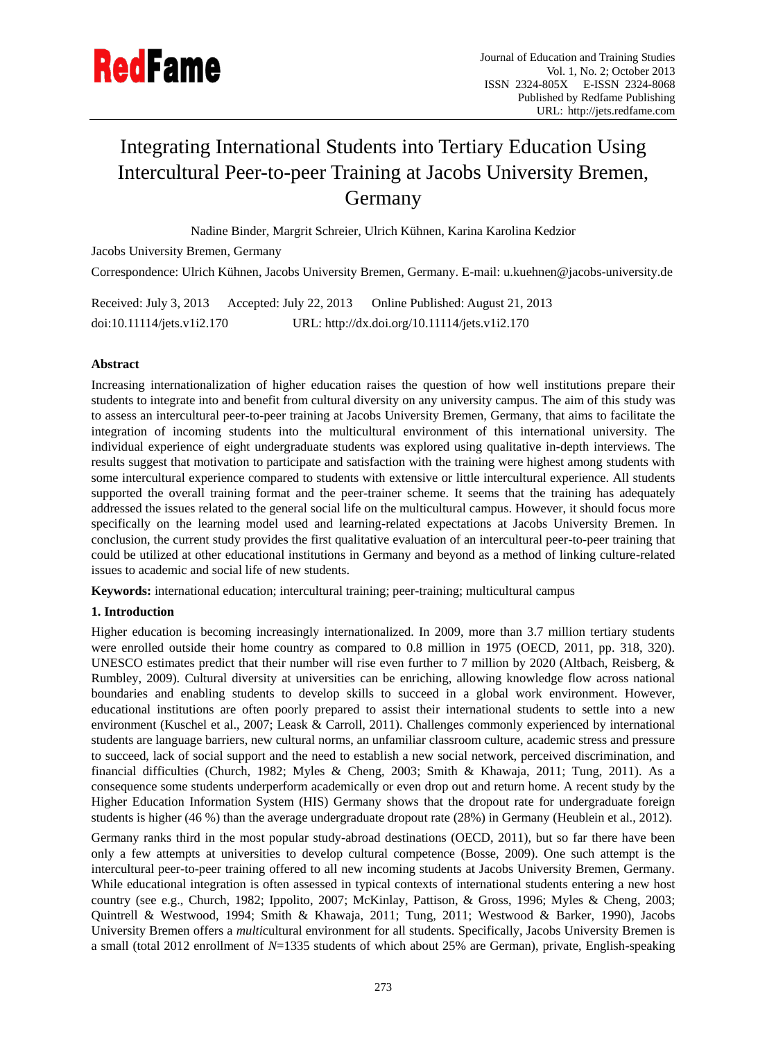

# Integrating International Students into Tertiary Education Using Intercultural Peer-to-peer Training at Jacobs University Bremen, Germany

Nadine Binder, Margrit Schreier, Ulrich Kühnen, Karina Karolina Kedzior

Jacobs University Bremen, Germany

Correspondence: Ulrich Kühnen, Jacobs University Bremen, Germany. E-mail: [u.kuehnen@jacobs-university.de](mailto:u.kuehnen@jacobs-university.de)

Received: July 3, 2013 Accepted: July 22, 2013 Online Published: August 21, 2013 doi:10.11114/jets.v1i2.170 URL: http://dx.doi.org/10.11114/jets.v1i2.170

# **Abstract**

Increasing internationalization of higher education raises the question of how well institutions prepare their students to integrate into and benefit from cultural diversity on any university campus. The aim of this study was to assess an intercultural peer-to-peer training at Jacobs University Bremen, Germany, that aims to facilitate the integration of incoming students into the multicultural environment of this international university. The individual experience of eight undergraduate students was explored using qualitative in-depth interviews. The results suggest that motivation to participate and satisfaction with the training were highest among students with some intercultural experience compared to students with extensive or little intercultural experience. All students supported the overall training format and the peer-trainer scheme. It seems that the training has adequately addressed the issues related to the general social life on the multicultural campus. However, it should focus more specifically on the learning model used and learning-related expectations at Jacobs University Bremen. In conclusion, the current study provides the first qualitative evaluation of an intercultural peer-to-peer training that could be utilized at other educational institutions in Germany and beyond as a method of linking culture-related issues to academic and social life of new students.

**Keywords:** international education; intercultural training; peer-training; multicultural campus

# **1. Introduction**

Higher education is becoming increasingly internationalized. In 2009, more than 3.7 million tertiary students were enrolled outside their home country as compared to 0.8 million in 1975 (OECD, 2011, pp. 318, 320). UNESCO estimates predict that their number will rise even further to 7 million by 2020 (Altbach, Reisberg, & Rumbley, 2009). Cultural diversity at universities can be enriching, allowing knowledge flow across national boundaries and enabling students to develop skills to succeed in a global work environment. However, educational institutions are often poorly prepared to assist their international students to settle into a new environment (Kuschel et al., 2007; Leask & Carroll, 2011). Challenges commonly experienced by international students are language barriers, new cultural norms, an unfamiliar classroom culture, academic stress and pressure to succeed, lack of social support and the need to establish a new social network, perceived discrimination, and financial difficulties (Church, 1982; Myles & Cheng, 2003; Smith & Khawaja, 2011; Tung, 2011). As a consequence some students underperform academically or even drop out and return home. A recent study by the Higher Education Information System (HIS) Germany shows that the dropout rate for undergraduate foreign students is higher (46 %) than the average undergraduate dropout rate (28%) in Germany (Heublein et al., 2012).

Germany ranks third in the most popular study-abroad destinations (OECD, 2011), but so far there have been only a few attempts at universities to develop cultural competence (Bosse, 2009). One such attempt is the intercultural peer-to-peer training offered to all new incoming students at Jacobs University Bremen, Germany. While educational integration is often assessed in typical contexts of international students entering a new host country (see e.g., Church, 1982; Ippolito, 2007; McKinlay, Pattison, & Gross, 1996; Myles & Cheng, 2003; Quintrell & Westwood, 1994; Smith & Khawaja, 2011; Tung, 2011; Westwood & Barker, 1990), Jacobs University Bremen offers a *multi*cultural environment for all students. Specifically, Jacobs University Bremen is a small (total 2012 enrollment of *N*=1335 students of which about 25% are German), private, English-speaking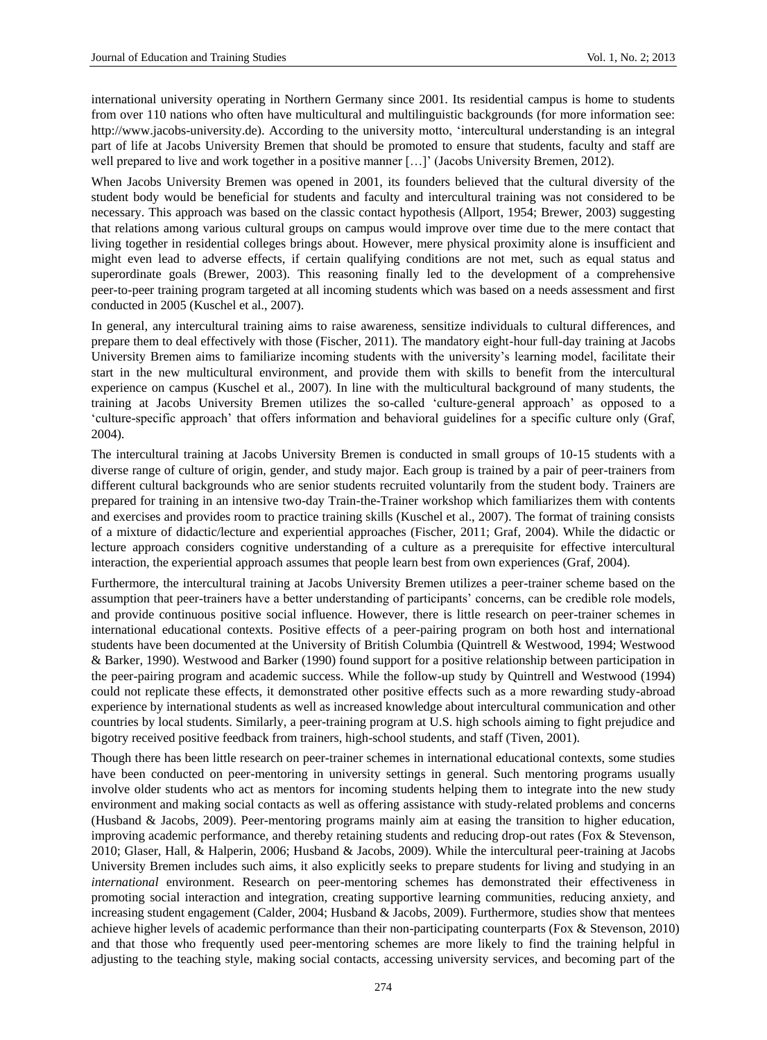international university operating in Northern Germany since 2001. Its residential campus is home to students from over 110 nations who often have multicultural and multilinguistic backgrounds (for more information see: http://www.jacobs-university.de). According to the university motto, 'intercultural understanding is an integral part of life at Jacobs University Bremen that should be promoted to ensure that students, faculty and staff are well prepared to live and work together in a positive manner [...]' (Jacobs University Bremen, 2012).

When Jacobs University Bremen was opened in 2001, its founders believed that the cultural diversity of the student body would be beneficial for students and faculty and intercultural training was not considered to be necessary. This approach was based on the classic contact hypothesis (Allport, 1954; Brewer, 2003) suggesting that relations among various cultural groups on campus would improve over time due to the mere contact that living together in residential colleges brings about. However, mere physical proximity alone is insufficient and might even lead to adverse effects, if certain qualifying conditions are not met, such as equal status and superordinate goals (Brewer, 2003). This reasoning finally led to the development of a comprehensive peer-to-peer training program targeted at all incoming students which was based on a needs assessment and first conducted in 2005 (Kuschel et al., 2007).

In general, any intercultural training aims to raise awareness, sensitize individuals to cultural differences, and prepare them to deal effectively with those (Fischer, 2011). The mandatory eight-hour full-day training at Jacobs University Bremen aims to familiarize incoming students with the university's learning model, facilitate their start in the new multicultural environment, and provide them with skills to benefit from the intercultural experience on campus (Kuschel et al., 2007). In line with the multicultural background of many students, the training at Jacobs University Bremen utilizes the so-called 'culture-general approach' as opposed to a 'culture-specific approach' that offers information and behavioral guidelines for a specific culture only (Graf, 2004).

The intercultural training at Jacobs University Bremen is conducted in small groups of 10-15 students with a diverse range of culture of origin, gender, and study major. Each group is trained by a pair of peer-trainers from different cultural backgrounds who are senior students recruited voluntarily from the student body. Trainers are prepared for training in an intensive two-day Train-the-Trainer workshop which familiarizes them with contents and exercises and provides room to practice training skills (Kuschel et al., 2007). The format of training consists of a mixture of didactic/lecture and experiential approaches (Fischer, 2011; Graf, 2004). While the didactic or lecture approach considers cognitive understanding of a culture as a prerequisite for effective intercultural interaction, the experiential approach assumes that people learn best from own experiences (Graf, 2004).

Furthermore, the intercultural training at Jacobs University Bremen utilizes a peer-trainer scheme based on the assumption that peer-trainers have a better understanding of participants' concerns, can be credible role models, and provide continuous positive social influence. However, there is little research on peer-trainer schemes in international educational contexts. Positive effects of a peer-pairing program on both host and international students have been documented at the University of British Columbia (Quintrell & Westwood, 1994; Westwood & Barker, 1990). Westwood and Barker (1990) found support for a positive relationship between participation in the peer-pairing program and academic success. While the follow-up study by Quintrell and Westwood (1994) could not replicate these effects, it demonstrated other positive effects such as a more rewarding study-abroad experience by international students as well as increased knowledge about intercultural communication and other countries by local students. Similarly, a peer-training program at U.S. high schools aiming to fight prejudice and bigotry received positive feedback from trainers, high-school students, and staff (Tiven, 2001).

Though there has been little research on peer-trainer schemes in international educational contexts, some studies have been conducted on peer-mentoring in university settings in general. Such mentoring programs usually involve older students who act as mentors for incoming students helping them to integrate into the new study environment and making social contacts as well as offering assistance with study-related problems and concerns (Husband & Jacobs, 2009). Peer-mentoring programs mainly aim at easing the transition to higher education, improving academic performance, and thereby retaining students and reducing drop-out rates (Fox & Stevenson, 2010; Glaser, Hall, & Halperin, 2006; Husband & Jacobs, 2009). While the intercultural peer-training at Jacobs University Bremen includes such aims, it also explicitly seeks to prepare students for living and studying in an *international* environment. Research on peer-mentoring schemes has demonstrated their effectiveness in promoting social interaction and integration, creating supportive learning communities, reducing anxiety, and increasing student engagement (Calder, 2004; Husband & Jacobs, 2009). Furthermore, studies show that mentees achieve higher levels of academic performance than their non-participating counterparts (Fox & Stevenson, 2010) and that those who frequently used peer-mentoring schemes are more likely to find the training helpful in adjusting to the teaching style, making social contacts, accessing university services, and becoming part of the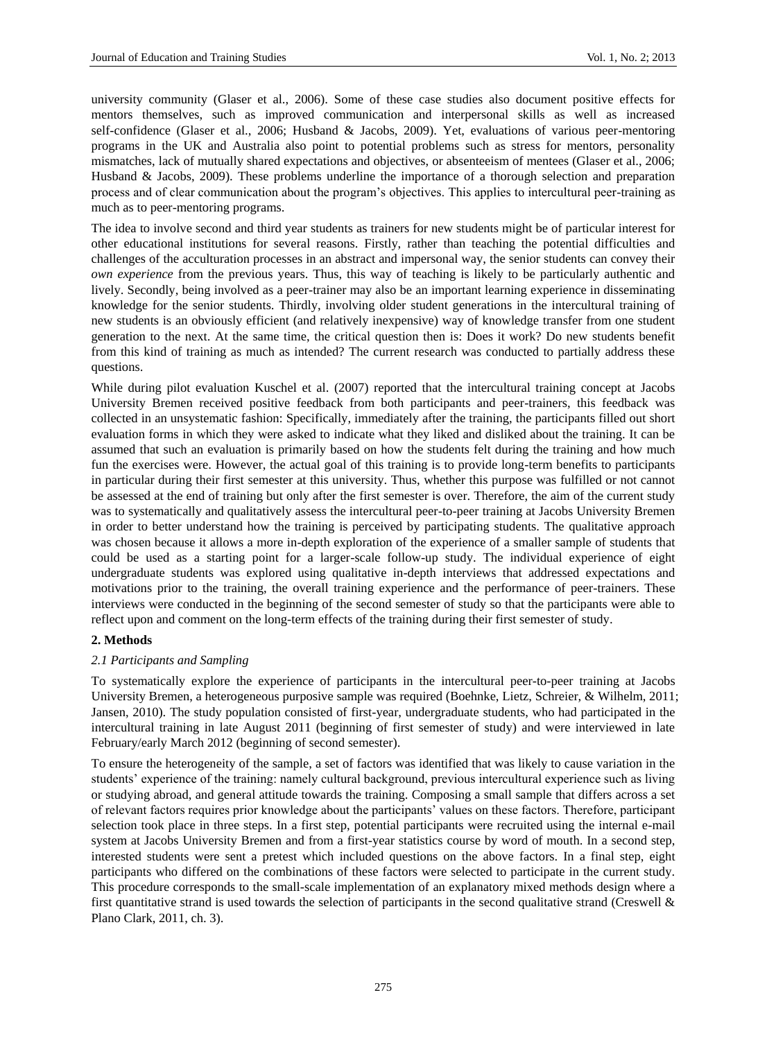university community (Glaser et al., 2006). Some of these case studies also document positive effects for mentors themselves, such as improved communication and interpersonal skills as well as increased self-confidence (Glaser et al., 2006; Husband & Jacobs, 2009). Yet, evaluations of various peer-mentoring programs in the UK and Australia also point to potential problems such as stress for mentors, personality mismatches, lack of mutually shared expectations and objectives, or absenteeism of mentees (Glaser et al., 2006; Husband & Jacobs, 2009). These problems underline the importance of a thorough selection and preparation process and of clear communication about the program's objectives. This applies to intercultural peer-training as much as to peer-mentoring programs.

The idea to involve second and third year students as trainers for new students might be of particular interest for other educational institutions for several reasons. Firstly, rather than teaching the potential difficulties and challenges of the acculturation processes in an abstract and impersonal way, the senior students can convey their *own experience* from the previous years. Thus, this way of teaching is likely to be particularly authentic and lively. Secondly, being involved as a peer-trainer may also be an important learning experience in disseminating knowledge for the senior students. Thirdly, involving older student generations in the intercultural training of new students is an obviously efficient (and relatively inexpensive) way of knowledge transfer from one student generation to the next. At the same time, the critical question then is: Does it work? Do new students benefit from this kind of training as much as intended? The current research was conducted to partially address these questions.

While during pilot evaluation Kuschel et al. (2007) reported that the intercultural training concept at Jacobs University Bremen received positive feedback from both participants and peer-trainers, this feedback was collected in an unsystematic fashion: Specifically, immediately after the training, the participants filled out short evaluation forms in which they were asked to indicate what they liked and disliked about the training. It can be assumed that such an evaluation is primarily based on how the students felt during the training and how much fun the exercises were. However, the actual goal of this training is to provide long-term benefits to participants in particular during their first semester at this university. Thus, whether this purpose was fulfilled or not cannot be assessed at the end of training but only after the first semester is over. Therefore, the aim of the current study was to systematically and qualitatively assess the intercultural peer-to-peer training at Jacobs University Bremen in order to better understand how the training is perceived by participating students. The qualitative approach was chosen because it allows a more in-depth exploration of the experience of a smaller sample of students that could be used as a starting point for a larger-scale follow-up study. The individual experience of eight undergraduate students was explored using qualitative in-depth interviews that addressed expectations and motivations prior to the training, the overall training experience and the performance of peer-trainers. These interviews were conducted in the beginning of the second semester of study so that the participants were able to reflect upon and comment on the long-term effects of the training during their first semester of study.

#### **2. Methods**

#### *2.1 Participants and Sampling*

To systematically explore the experience of participants in the intercultural peer-to-peer training at Jacobs University Bremen, a heterogeneous purposive sample was required (Boehnke, Lietz, Schreier, & Wilhelm, 2011; Jansen, 2010). The study population consisted of first-year, undergraduate students, who had participated in the intercultural training in late August 2011 (beginning of first semester of study) and were interviewed in late February/early March 2012 (beginning of second semester).

To ensure the heterogeneity of the sample, a set of factors was identified that was likely to cause variation in the students' experience of the training: namely cultural background, previous intercultural experience such as living or studying abroad, and general attitude towards the training. Composing a small sample that differs across a set of relevant factors requires prior knowledge about the participants' values on these factors. Therefore, participant selection took place in three steps. In a first step, potential participants were recruited using the internal e-mail system at Jacobs University Bremen and from a first-year statistics course by word of mouth. In a second step, interested students were sent a pretest which included questions on the above factors. In a final step, eight participants who differed on the combinations of these factors were selected to participate in the current study. This procedure corresponds to the small-scale implementation of an explanatory mixed methods design where a first quantitative strand is used towards the selection of participants in the second qualitative strand (Creswell  $\&$ Plano Clark, 2011, ch. 3).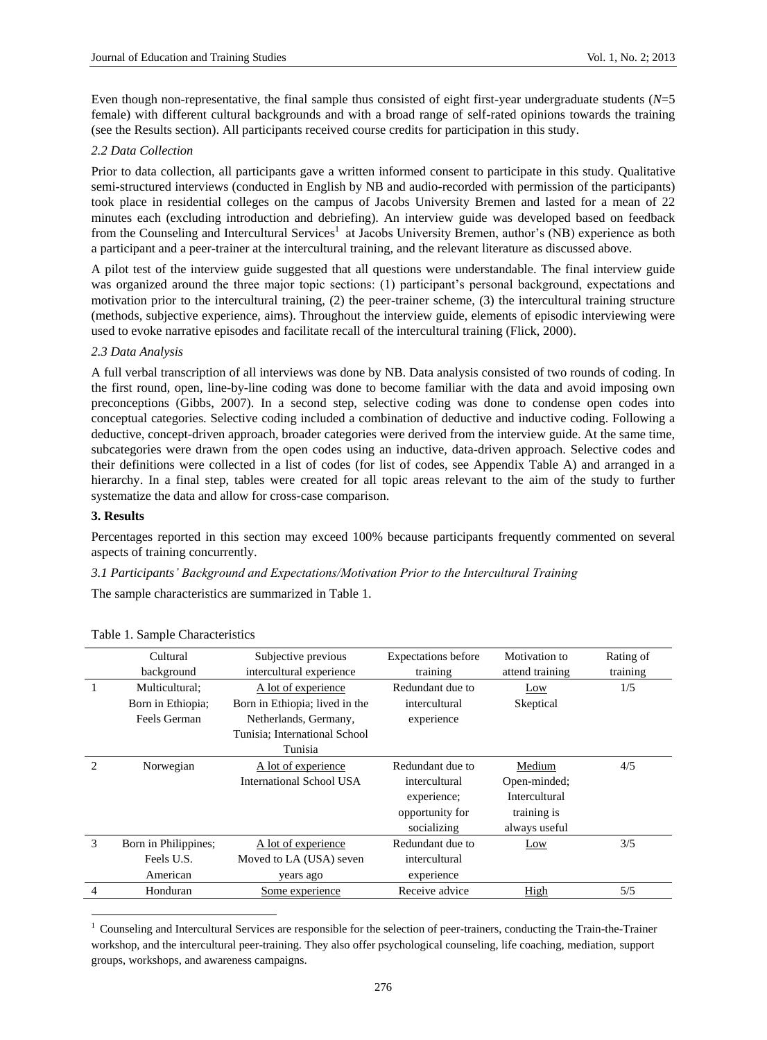Even though non-representative, the final sample thus consisted of eight first-year undergraduate students (*N*=5 female) with different cultural backgrounds and with a broad range of self-rated opinions towards the training (see the Results section). All participants received course credits for participation in this study.

# *2.2 Data Collection*

Prior to data collection, all participants gave a written informed consent to participate in this study. Qualitative semi-structured interviews (conducted in English by NB and audio-recorded with permission of the participants) took place in residential colleges on the campus of Jacobs University Bremen and lasted for a mean of 22 minutes each (excluding introduction and debriefing). An interview guide was developed based on feedback from the Counseling and Intercultural Services<sup>1</sup> at Jacobs University Bremen, author's (NB) experience as both a participant and a peer-trainer at the intercultural training, and the relevant literature as discussed above.

A pilot test of the interview guide suggested that all questions were understandable. The final interview guide was organized around the three major topic sections: (1) participant's personal background, expectations and motivation prior to the intercultural training, (2) the peer-trainer scheme, (3) the intercultural training structure (methods, subjective experience, aims). Throughout the interview guide, elements of episodic interviewing were used to evoke narrative episodes and facilitate recall of the intercultural training (Flick, 2000).

# *2.3 Data Analysis*

A full verbal transcription of all interviews was done by NB. Data analysis consisted of two rounds of coding. In the first round, open, line-by-line coding was done to become familiar with the data and avoid imposing own preconceptions (Gibbs, 2007). In a second step, selective coding was done to condense open codes into conceptual categories. Selective coding included a combination of deductive and inductive coding. Following a deductive, concept-driven approach, broader categories were derived from the interview guide. At the same time, subcategories were drawn from the open codes using an inductive, data-driven approach. Selective codes and their definitions were collected in a list of codes (for list of codes, see Appendix Table A) and arranged in a hierarchy. In a final step, tables were created for all topic areas relevant to the aim of the study to further systematize the data and allow for cross-case comparison.

# **3. Results**

-

Percentages reported in this section may exceed 100% because participants frequently commented on several aspects of training concurrently.

*3.1 Participants' Background and Expectations/Motivation Prior to the Intercultural Training*

The sample characteristics are summarized in Table 1.

|   | Cultural<br>background | Subjective previous<br>intercultural experience | <b>Expectations before</b><br>training | Motivation to<br>attend training | Rating of<br>training |
|---|------------------------|-------------------------------------------------|----------------------------------------|----------------------------------|-----------------------|
|   | Multicultural:         | A lot of experience                             | Redundant due to                       | Low                              | 1/5                   |
|   | Born in Ethiopia;      | Born in Ethiopia; lived in the                  | intercultural                          | Skeptical                        |                       |
|   | Feels German           | Netherlands, Germany,                           | experience                             |                                  |                       |
|   |                        | Tunisia; International School                   |                                        |                                  |                       |
|   |                        | Tunisia                                         |                                        |                                  |                       |
| っ | Norwegian              | A lot of experience                             | Redundant due to                       | Medium                           | 4/5                   |
|   |                        | International School USA                        | intercultural                          | Open-minded;                     |                       |
|   |                        |                                                 | experience;                            | <b>Intercultural</b>             |                       |
|   |                        |                                                 | opportunity for                        | training is                      |                       |
|   |                        |                                                 | socializing                            | always useful                    |                       |
| 3 | Born in Philippines;   | A lot of experience                             | Redundant due to                       | Low                              | 3/5                   |
|   | Feels U.S.             | Moved to LA (USA) seven                         | intercultural                          |                                  |                       |
|   | American               | years ago                                       | experience                             |                                  |                       |
| 4 | Honduran               | Some experience                                 | Receive advice                         | High                             | 5/5                   |

# Table 1. Sample Characteristics

 $1$  Counseling and Intercultural Services are responsible for the selection of peer-trainers, conducting the Train-the-Trainer workshop, and the intercultural peer-training. They also offer psychological counseling, life coaching, mediation, support groups, workshops, and awareness campaigns.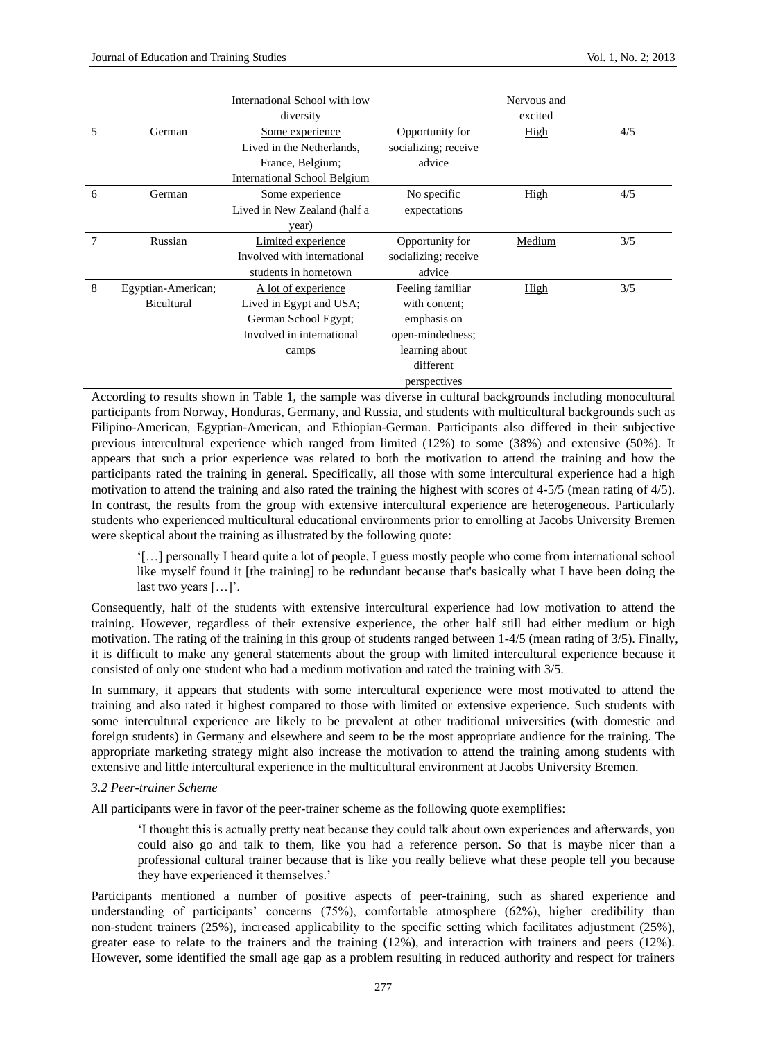|   |                    | International School with low       |                      | Nervous and |     |
|---|--------------------|-------------------------------------|----------------------|-------------|-----|
|   |                    | diversity                           |                      | excited     |     |
| 5 | German             | Some experience                     | Opportunity for      | High        | 4/5 |
|   |                    | Lived in the Netherlands,           | socializing; receive |             |     |
|   |                    | France, Belgium;                    | advice               |             |     |
|   |                    | <b>International School Belgium</b> |                      |             |     |
| 6 | German             | Some experience                     | No specific          | High        | 4/5 |
|   |                    | Lived in New Zealand (half a        | expectations         |             |     |
|   |                    | year)                               |                      |             |     |
| 7 | Russian            | Limited experience                  | Opportunity for      | Medium      | 3/5 |
|   |                    | Involved with international         | socializing; receive |             |     |
|   |                    | students in hometown                | advice               |             |     |
| 8 | Egyptian-American; | A lot of experience                 | Feeling familiar     | High        | 3/5 |
|   | <b>Bicultural</b>  | Lived in Egypt and USA;             | with content:        |             |     |
|   |                    | German School Egypt;                | emphasis on          |             |     |
|   |                    | Involved in international           | open-mindedness;     |             |     |
|   |                    | camps                               | learning about       |             |     |
|   |                    |                                     | different            |             |     |
|   |                    |                                     | perspectives         |             |     |

According to results shown in Table 1, the sample was diverse in cultural backgrounds including monocultural participants from Norway, Honduras, Germany, and Russia, and students with multicultural backgrounds such as Filipino-American, Egyptian-American, and Ethiopian-German. Participants also differed in their subjective previous intercultural experience which ranged from limited (12%) to some (38%) and extensive (50%). It appears that such a prior experience was related to both the motivation to attend the training and how the participants rated the training in general. Specifically, all those with some intercultural experience had a high motivation to attend the training and also rated the training the highest with scores of 4-5/5 (mean rating of 4/5). In contrast, the results from the group with extensive intercultural experience are heterogeneous. Particularly students who experienced multicultural educational environments prior to enrolling at Jacobs University Bremen were skeptical about the training as illustrated by the following quote:

'[…] personally I heard quite a lot of people, I guess mostly people who come from international school like myself found it [the training] to be redundant because that's basically what I have been doing the last two years […]'.

Consequently, half of the students with extensive intercultural experience had low motivation to attend the training. However, regardless of their extensive experience, the other half still had either medium or high motivation. The rating of the training in this group of students ranged between 1-4/5 (mean rating of 3/5). Finally, it is difficult to make any general statements about the group with limited intercultural experience because it consisted of only one student who had a medium motivation and rated the training with 3/5.

In summary, it appears that students with some intercultural experience were most motivated to attend the training and also rated it highest compared to those with limited or extensive experience. Such students with some intercultural experience are likely to be prevalent at other traditional universities (with domestic and foreign students) in Germany and elsewhere and seem to be the most appropriate audience for the training. The appropriate marketing strategy might also increase the motivation to attend the training among students with extensive and little intercultural experience in the multicultural environment at Jacobs University Bremen.

# *3.2 Peer-trainer Scheme*

All participants were in favor of the peer-trainer scheme as the following quote exemplifies:

'I thought this is actually pretty neat because they could talk about own experiences and afterwards, you could also go and talk to them, like you had a reference person. So that is maybe nicer than a professional cultural trainer because that is like you really believe what these people tell you because they have experienced it themselves.'

Participants mentioned a number of positive aspects of peer-training, such as shared experience and understanding of participants' concerns (75%), comfortable atmosphere (62%), higher credibility than non-student trainers (25%), increased applicability to the specific setting which facilitates adjustment (25%), greater ease to relate to the trainers and the training (12%), and interaction with trainers and peers (12%). However, some identified the small age gap as a problem resulting in reduced authority and respect for trainers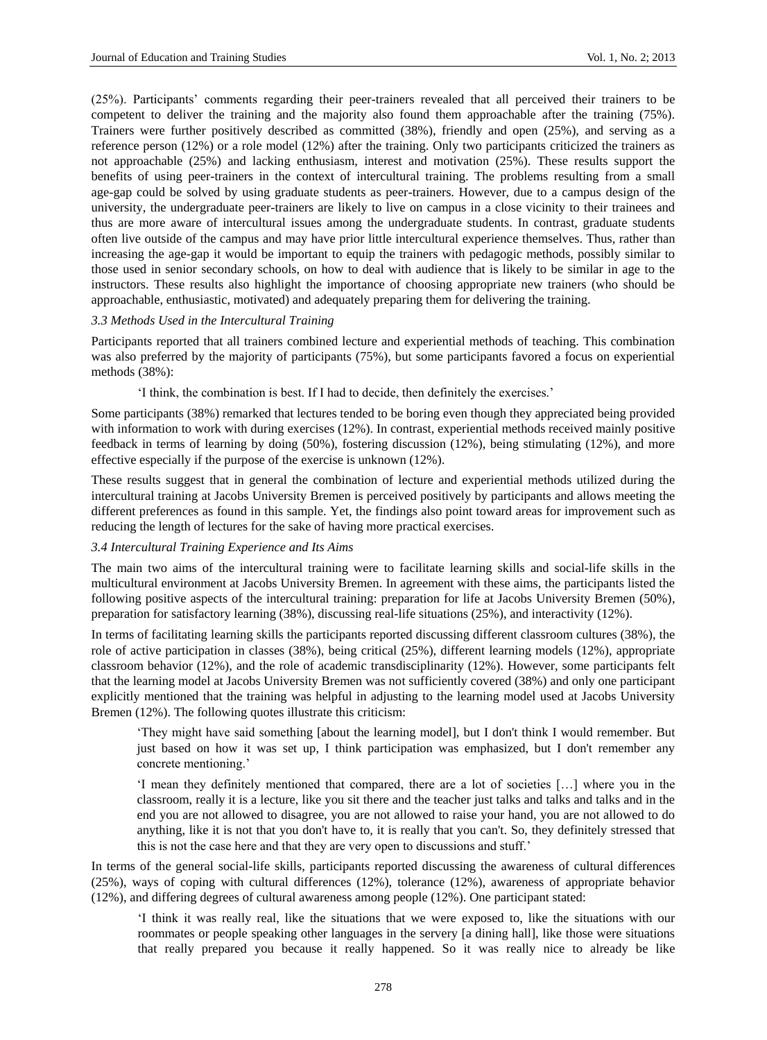(25%). Participants' comments regarding their peer-trainers revealed that all perceived their trainers to be competent to deliver the training and the majority also found them approachable after the training (75%). Trainers were further positively described as committed (38%), friendly and open (25%), and serving as a reference person (12%) or a role model (12%) after the training. Only two participants criticized the trainers as not approachable (25%) and lacking enthusiasm, interest and motivation (25%). These results support the benefits of using peer-trainers in the context of intercultural training. The problems resulting from a small age-gap could be solved by using graduate students as peer-trainers. However, due to a campus design of the university, the undergraduate peer-trainers are likely to live on campus in a close vicinity to their trainees and thus are more aware of intercultural issues among the undergraduate students. In contrast, graduate students often live outside of the campus and may have prior little intercultural experience themselves. Thus, rather than increasing the age-gap it would be important to equip the trainers with pedagogic methods, possibly similar to those used in senior secondary schools, on how to deal with audience that is likely to be similar in age to the instructors. These results also highlight the importance of choosing appropriate new trainers (who should be approachable, enthusiastic, motivated) and adequately preparing them for delivering the training.

# *3.3 Methods Used in the Intercultural Training*

Participants reported that all trainers combined lecture and experiential methods of teaching. This combination was also preferred by the majority of participants (75%), but some participants favored a focus on experiential methods (38%):

'I think, the combination is best. If I had to decide, then definitely the exercises.'

Some participants (38%) remarked that lectures tended to be boring even though they appreciated being provided with information to work with during exercises (12%). In contrast, experiential methods received mainly positive feedback in terms of learning by doing (50%), fostering discussion (12%), being stimulating (12%), and more effective especially if the purpose of the exercise is unknown (12%).

These results suggest that in general the combination of lecture and experiential methods utilized during the intercultural training at Jacobs University Bremen is perceived positively by participants and allows meeting the different preferences as found in this sample. Yet, the findings also point toward areas for improvement such as reducing the length of lectures for the sake of having more practical exercises.

#### *3.4 Intercultural Training Experience and Its Aims*

The main two aims of the intercultural training were to facilitate learning skills and social-life skills in the multicultural environment at Jacobs University Bremen. In agreement with these aims, the participants listed the following positive aspects of the intercultural training: preparation for life at Jacobs University Bremen (50%), preparation for satisfactory learning (38%), discussing real-life situations (25%), and interactivity (12%).

In terms of facilitating learning skills the participants reported discussing different classroom cultures (38%), the role of active participation in classes (38%), being critical (25%), different learning models (12%), appropriate classroom behavior (12%), and the role of academic transdisciplinarity (12%). However, some participants felt that the learning model at Jacobs University Bremen was not sufficiently covered (38%) and only one participant explicitly mentioned that the training was helpful in adjusting to the learning model used at Jacobs University Bremen (12%). The following quotes illustrate this criticism:

'They might have said something [about the learning model], but I don't think I would remember. But just based on how it was set up, I think participation was emphasized, but I don't remember any concrete mentioning.'

'I mean they definitely mentioned that compared, there are a lot of societies […] where you in the classroom, really it is a lecture, like you sit there and the teacher just talks and talks and talks and in the end you are not allowed to disagree, you are not allowed to raise your hand, you are not allowed to do anything, like it is not that you don't have to, it is really that you can't. So, they definitely stressed that this is not the case here and that they are very open to discussions and stuff.'

In terms of the general social-life skills, participants reported discussing the awareness of cultural differences (25%), ways of coping with cultural differences (12%), tolerance (12%), awareness of appropriate behavior (12%), and differing degrees of cultural awareness among people (12%). One participant stated:

'I think it was really real, like the situations that we were exposed to, like the situations with our roommates or people speaking other languages in the servery [a dining hall], like those were situations that really prepared you because it really happened. So it was really nice to already be like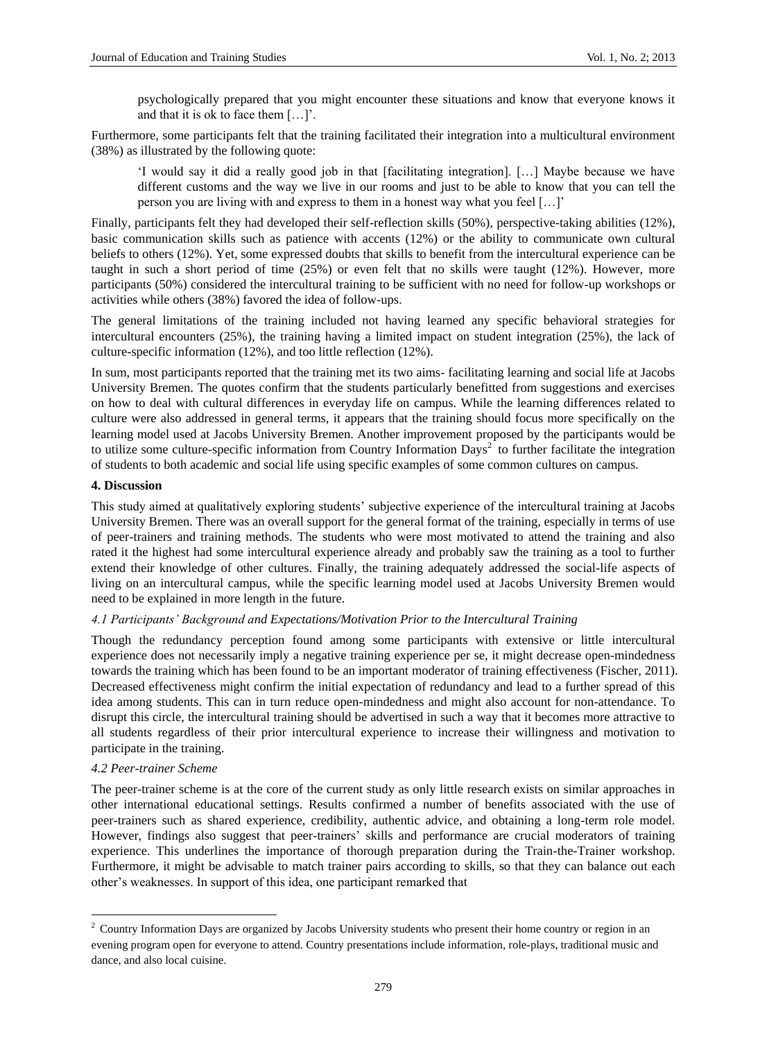psychologically prepared that you might encounter these situations and know that everyone knows it and that it is ok to face them […]'.

Furthermore, some participants felt that the training facilitated their integration into a multicultural environment (38%) as illustrated by the following quote:

'I would say it did a really good job in that [facilitating integration]. […] Maybe because we have different customs and the way we live in our rooms and just to be able to know that you can tell the person you are living with and express to them in a honest way what you feel […]'

Finally, participants felt they had developed their self-reflection skills (50%), perspective-taking abilities (12%), basic communication skills such as patience with accents (12%) or the ability to communicate own cultural beliefs to others (12%). Yet, some expressed doubts that skills to benefit from the intercultural experience can be taught in such a short period of time (25%) or even felt that no skills were taught (12%). However, more participants (50%) considered the intercultural training to be sufficient with no need for follow-up workshops or activities while others (38%) favored the idea of follow-ups.

The general limitations of the training included not having learned any specific behavioral strategies for intercultural encounters (25%), the training having a limited impact on student integration (25%), the lack of culture-specific information (12%), and too little reflection (12%).

In sum, most participants reported that the training met its two aims- facilitating learning and social life at Jacobs University Bremen. The quotes confirm that the students particularly benefitted from suggestions and exercises on how to deal with cultural differences in everyday life on campus. While the learning differences related to culture were also addressed in general terms, it appears that the training should focus more specifically on the learning model used at Jacobs University Bremen. Another improvement proposed by the participants would be to utilize some culture-specific information from Country Information  $Days^2$  to further facilitate the integration of students to both academic and social life using specific examples of some common cultures on campus.

# **4. Discussion**

This study aimed at qualitatively exploring students' subjective experience of the intercultural training at Jacobs University Bremen. There was an overall support for the general format of the training, especially in terms of use of peer-trainers and training methods. The students who were most motivated to attend the training and also rated it the highest had some intercultural experience already and probably saw the training as a tool to further extend their knowledge of other cultures. Finally, the training adequately addressed the social-life aspects of living on an intercultural campus, while the specific learning model used at Jacobs University Bremen would need to be explained in more length in the future.

# *4.1 Participants' Background and Expectations/Motivation Prior to the Intercultural Training*

Though the redundancy perception found among some participants with extensive or little intercultural experience does not necessarily imply a negative training experience per se, it might decrease open-mindedness towards the training which has been found to be an important moderator of training effectiveness (Fischer, 2011). Decreased effectiveness might confirm the initial expectation of redundancy and lead to a further spread of this idea among students. This can in turn reduce open-mindedness and might also account for non-attendance. To disrupt this circle, the intercultural training should be advertised in such a way that it becomes more attractive to all students regardless of their prior intercultural experience to increase their willingness and motivation to participate in the training.

#### *4.2 Peer-trainer Scheme*

-

The peer-trainer scheme is at the core of the current study as only little research exists on similar approaches in other international educational settings. Results confirmed a number of benefits associated with the use of peer-trainers such as shared experience, credibility, authentic advice, and obtaining a long-term role model. However, findings also suggest that peer-trainers' skills and performance are crucial moderators of training experience. This underlines the importance of thorough preparation during the Train-the-Trainer workshop. Furthermore, it might be advisable to match trainer pairs according to skills, so that they can balance out each other's weaknesses. In support of this idea, one participant remarked that

<sup>&</sup>lt;sup>2</sup> Country Information Days are organized by Jacobs University students who present their home country or region in an evening program open for everyone to attend. Country presentations include information, role-plays, traditional music and dance, and also local cuisine.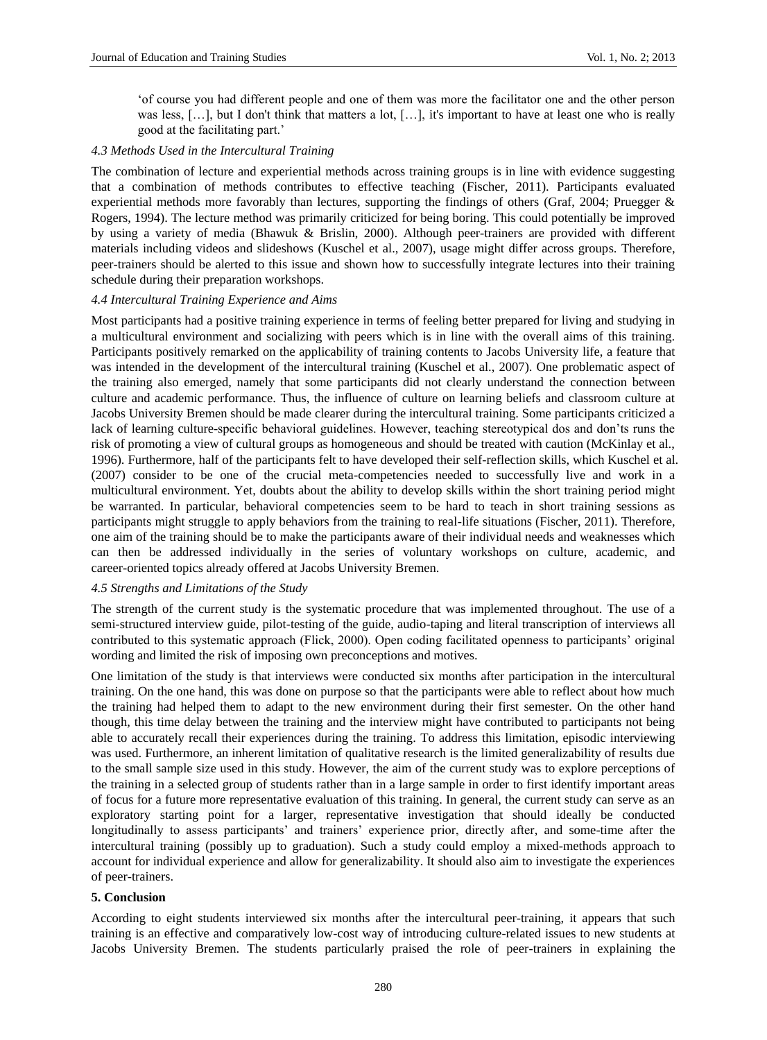'of course you had different people and one of them was more the facilitator one and the other person was less, […], but I don't think that matters a lot, […], it's important to have at least one who is really good at the facilitating part.'

#### *4.3 Methods Used in the Intercultural Training*

The combination of lecture and experiential methods across training groups is in line with evidence suggesting that a combination of methods contributes to effective teaching (Fischer, 2011). Participants evaluated experiential methods more favorably than lectures, supporting the findings of others (Graf, 2004; Pruegger & Rogers, 1994). The lecture method was primarily criticized for being boring. This could potentially be improved by using a variety of media (Bhawuk & Brislin, 2000). Although peer-trainers are provided with different materials including videos and slideshows (Kuschel et al., 2007), usage might differ across groups. Therefore, peer-trainers should be alerted to this issue and shown how to successfully integrate lectures into their training schedule during their preparation workshops.

#### *4.4 Intercultural Training Experience and Aims*

Most participants had a positive training experience in terms of feeling better prepared for living and studying in a multicultural environment and socializing with peers which is in line with the overall aims of this training. Participants positively remarked on the applicability of training contents to Jacobs University life, a feature that was intended in the development of the intercultural training (Kuschel et al., 2007). One problematic aspect of the training also emerged, namely that some participants did not clearly understand the connection between culture and academic performance. Thus, the influence of culture on learning beliefs and classroom culture at Jacobs University Bremen should be made clearer during the intercultural training. Some participants criticized a lack of learning culture-specific behavioral guidelines. However, teaching stereotypical dos and don'ts runs the risk of promoting a view of cultural groups as homogeneous and should be treated with caution (McKinlay et al., 1996). Furthermore, half of the participants felt to have developed their self-reflection skills, which Kuschel et al. (2007) consider to be one of the crucial meta-competencies needed to successfully live and work in a multicultural environment. Yet, doubts about the ability to develop skills within the short training period might be warranted. In particular, behavioral competencies seem to be hard to teach in short training sessions as participants might struggle to apply behaviors from the training to real-life situations (Fischer, 2011). Therefore, one aim of the training should be to make the participants aware of their individual needs and weaknesses which can then be addressed individually in the series of voluntary workshops on culture, academic, and career-oriented topics already offered at Jacobs University Bremen.

# *4.5 Strengths and Limitations of the Study*

The strength of the current study is the systematic procedure that was implemented throughout. The use of a semi-structured interview guide, pilot-testing of the guide, audio-taping and literal transcription of interviews all contributed to this systematic approach (Flick, 2000). Open coding facilitated openness to participants' original wording and limited the risk of imposing own preconceptions and motives.

One limitation of the study is that interviews were conducted six months after participation in the intercultural training. On the one hand, this was done on purpose so that the participants were able to reflect about how much the training had helped them to adapt to the new environment during their first semester. On the other hand though, this time delay between the training and the interview might have contributed to participants not being able to accurately recall their experiences during the training. To address this limitation, episodic interviewing was used. Furthermore, an inherent limitation of qualitative research is the limited generalizability of results due to the small sample size used in this study. However, the aim of the current study was to explore perceptions of the training in a selected group of students rather than in a large sample in order to first identify important areas of focus for a future more representative evaluation of this training. In general, the current study can serve as an exploratory starting point for a larger, representative investigation that should ideally be conducted longitudinally to assess participants' and trainers' experience prior, directly after, and some-time after the intercultural training (possibly up to graduation). Such a study could employ a mixed-methods approach to account for individual experience and allow for generalizability. It should also aim to investigate the experiences of peer-trainers.

# **5. Conclusion**

According to eight students interviewed six months after the intercultural peer-training, it appears that such training is an effective and comparatively low-cost way of introducing culture-related issues to new students at Jacobs University Bremen. The students particularly praised the role of peer-trainers in explaining the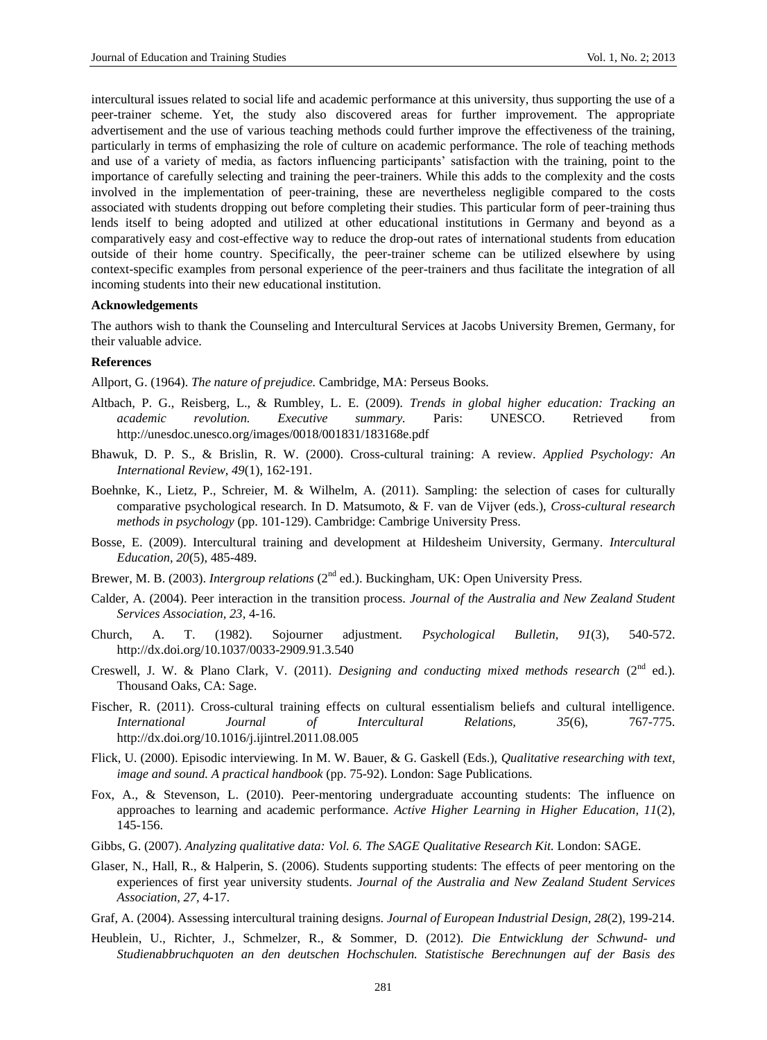intercultural issues related to social life and academic performance at this university, thus supporting the use of a peer-trainer scheme. Yet, the study also discovered areas for further improvement. The appropriate advertisement and the use of various teaching methods could further improve the effectiveness of the training, particularly in terms of emphasizing the role of culture on academic performance. The role of teaching methods and use of a variety of media, as factors influencing participants' satisfaction with the training, point to the importance of carefully selecting and training the peer-trainers. While this adds to the complexity and the costs involved in the implementation of peer-training, these are nevertheless negligible compared to the costs associated with students dropping out before completing their studies. This particular form of peer-training thus lends itself to being adopted and utilized at other educational institutions in Germany and beyond as a comparatively easy and cost-effective way to reduce the drop-out rates of international students from education outside of their home country. Specifically, the peer-trainer scheme can be utilized elsewhere by using context-specific examples from personal experience of the peer-trainers and thus facilitate the integration of all incoming students into their new educational institution.

#### **Acknowledgements**

The authors wish to thank the Counseling and Intercultural Services at Jacobs University Bremen, Germany, for their valuable advice.

#### **References**

Allport, G. (1964). *The nature of prejudice.* Cambridge, MA: Perseus Books.

- Altbach, P. G., Reisberg, L., & Rumbley, L. E. (2009). *Trends in global higher education: Tracking an academic revolution. Executive summary.* Paris: UNESCO. Retrieved from http://unesdoc.unesco.org/images/0018/001831/183168e.pdf
- Bhawuk, D. P. S., & Brislin, R. W. (2000). Cross-cultural training: A review. *Applied Psychology: An International Review, 49*(1), 162-191.
- Boehnke, K., Lietz, P., Schreier, M. & Wilhelm, A. (2011). Sampling: the selection of cases for culturally comparative psychological research. In D. Matsumoto, & F. van de Vijver (eds.), *Cross-cultural research methods in psychology* (pp. 101-129). Cambridge: Cambrige University Press.
- Bosse, E. (2009). Intercultural training and development at Hildesheim University, Germany. *Intercultural Education, 20*(5), 485-489.
- Brewer, M. B. (2003). *Intergroup relations* (2<sup>nd</sup> ed.). Buckingham, UK: Open University Press.
- Calder, A. (2004). Peer interaction in the transition process. *Journal of the Australia and New Zealand Student Services Association, 23,* 4-16.
- Church, A. T. (1982). Sojourner adjustment. *Psychological Bulletin, 91*(3), 540-572. http://dx.doi.org/10.1037/0033-2909.91.3.540
- Creswell, J. W. & Plano Clark, V. (2011). *Designing and conducting mixed methods research* (2<sup>nd</sup> ed.). Thousand Oaks, CA: Sage.
- Fischer, R. (2011). Cross-cultural training effects on cultural essentialism beliefs and cultural intelligence. *International Journal of Intercultural Relations, 35*(6), 767-775. http://dx.doi.org/10.1016/j.ijintrel.2011.08.005
- Flick, U. (2000). Episodic interviewing. In M. W. Bauer, & G. Gaskell (Eds.), *Qualitative researching with text, image and sound. A practical handbook* (pp. 75-92). London: Sage Publications.
- Fox, A., & Stevenson, L. (2010). Peer-mentoring undergraduate accounting students: The influence on approaches to learning and academic performance. *Active Higher Learning in Higher Education, 11*(2), 145-156.
- Gibbs, G. (2007). *Analyzing qualitative data: Vol. 6. The SAGE Qualitative Research Kit.* London: SAGE.
- Glaser, N., Hall, R., & Halperin, S. (2006). Students supporting students: The effects of peer mentoring on the experiences of first year university students. *Journal of the Australia and New Zealand Student Services Association, 27,* 4-17.
- Graf, A. (2004). Assessing intercultural training designs. *Journal of European Industrial Design, 28*(2), 199-214.
- Heublein, U., Richter, J., Schmelzer, R., & Sommer, D. (2012). *Die Entwicklung der Schwund- und Studienabbruchquoten an den deutschen Hochschulen. Statistische Berechnungen auf der Basis des*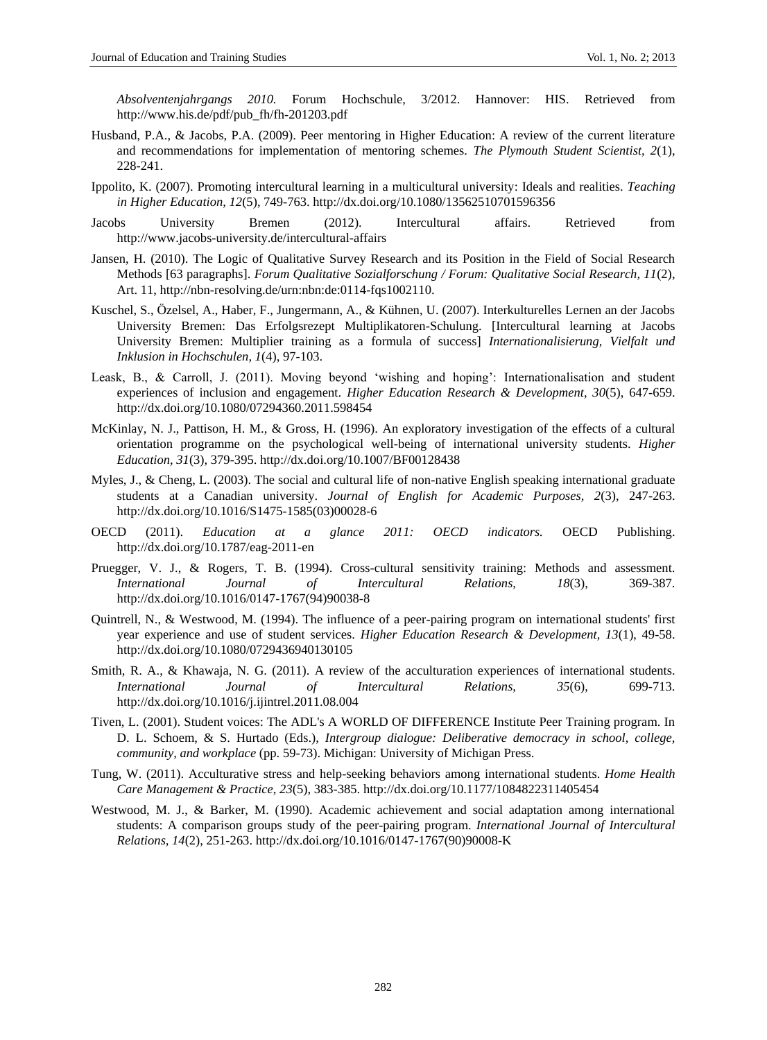*Absolventenjahrgangs 2010.* Forum Hochschule, 3/2012. Hannover: HIS. Retrieved from http://www.his.de/pdf/pub\_fh/fh-201203.pdf

- Husband, P.A., & Jacobs, P.A. (2009). Peer mentoring in Higher Education: A review of the current literature and recommendations for implementation of mentoring schemes. *The Plymouth Student Scientist, 2*(1), 228-241.
- Ippolito, K. (2007). Promoting intercultural learning in a multicultural university: Ideals and realities. *Teaching in Higher Education, 12*(5), 749-763. http://dx.doi.org/10.1080/13562510701596356
- Jacobs University Bremen (2012). Intercultural affairs. Retrieved from http://www.jacobs-university.de/intercultural-affairs
- Jansen, H. (2010). The Logic of Qualitative Survey Research and its Position in the Field of Social Research Methods [63 paragraphs]. *Forum Qualitative Sozialforschung / Forum: Qualitative Social Research, 11*(2), Art. 11, http://nbn-resolving.de/urn:nbn:de:0114-fqs1002110.
- Kuschel, S., Özelsel, A., Haber, F., Jungermann, A., & Kühnen, U. (2007). Interkulturelles Lernen an der Jacobs University Bremen: Das Erfolgsrezept Multiplikatoren-Schulung. [Intercultural learning at Jacobs University Bremen: Multiplier training as a formula of success] *Internationalisierung, Vielfalt und Inklusion in Hochschulen, 1*(4), 97-103.
- Leask, B., & Carroll, J. (2011). Moving beyond 'wishing and hoping': Internationalisation and student experiences of inclusion and engagement. *Higher Education Research & Development, 30*(5), 647-659. http://dx.doi.org/10.1080/07294360.2011.598454
- McKinlay, N. J., Pattison, H. M., & Gross, H. (1996). An exploratory investigation of the effects of a cultural orientation programme on the psychological well-being of international university students. *Higher Education, 31*(3)*,* 379-395. http://dx.doi.org/10.1007/BF00128438
- Myles, J., & Cheng, L. (2003). The social and cultural life of non-native English speaking international graduate students at a Canadian university. *Journal of English for Academic Purposes, 2*(3), 247-263. http://dx.doi.org/10.1016/S1475-1585(03)00028-6
- OECD (2011). *Education at a glance 2011: OECD indicators.* OECD Publishing. http://dx.doi.org/10.1787/eag-2011-en
- Pruegger, V. J., & Rogers, T. B. (1994). Cross-cultural sensitivity training: Methods and assessment. *International Journal of Intercultural Relations, 18*(3), 369-387. http://dx.doi.org/10.1016/0147-1767(94)90038-8
- Quintrell, N., & Westwood, M. (1994). The influence of a peer-pairing program on international students' first year experience and use of student services. *Higher Education Research & Development, 13*(1), 49-58. http://dx.doi.org/10.1080/0729436940130105
- Smith, R. A., & Khawaja, N. G. (2011). A review of the acculturation experiences of international students. *International Journal of Intercultural Relations, 35*(6), 699-713. http://dx.doi.org/10.1016/j.ijintrel.2011.08.004
- Tiven, L. (2001). Student voices: The ADL's A WORLD OF DIFFERENCE Institute Peer Training program. In D. L. Schoem, & S. Hurtado (Eds.), *Intergroup dialogue: Deliberative democracy in school, college, community, and workplace* (pp. 59-73). Michigan: University of Michigan Press.
- Tung, W. (2011). Acculturative stress and help-seeking behaviors among international students. *Home Health Care Management & Practice, 23*(5), 383-385. http://dx.doi.org/10.1177/1084822311405454
- Westwood, M. J., & Barker, M. (1990). Academic achievement and social adaptation among international students: A comparison groups study of the peer-pairing program. *International Journal of Intercultural Relations, 14*(2), 251-263. http://dx.doi.org/10.1016/0147-1767(90)90008-K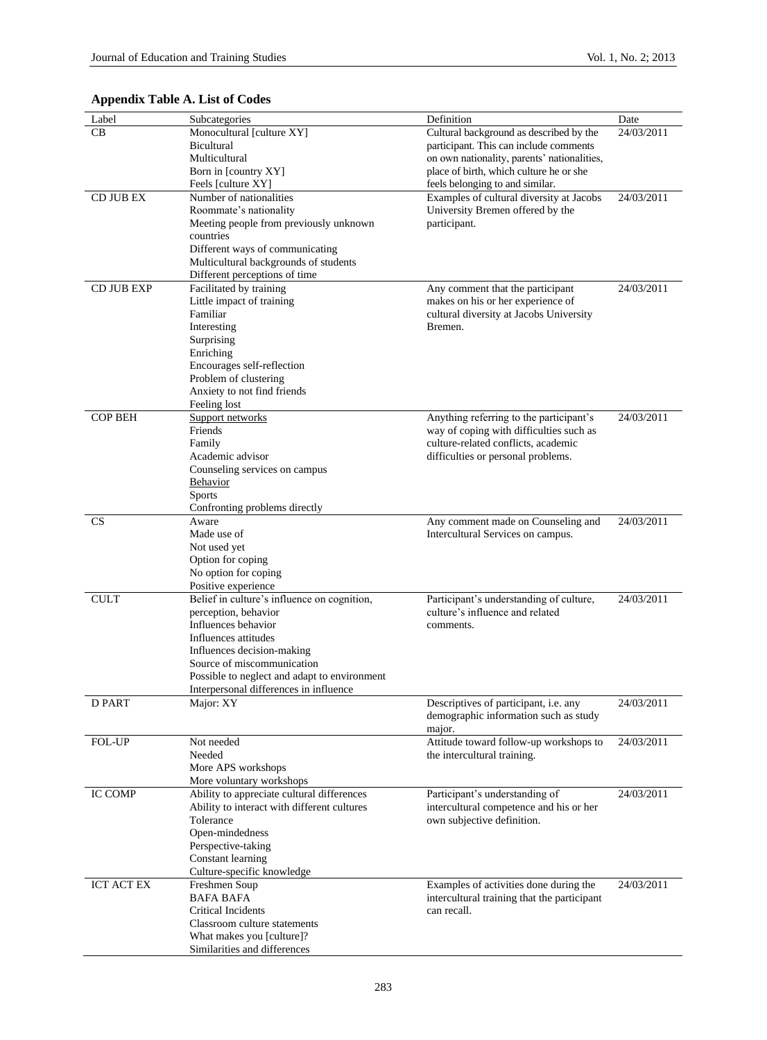| Label             | Subcategories                                                      | Definition                                  | Date       |
|-------------------|--------------------------------------------------------------------|---------------------------------------------|------------|
| CB                | Monocultural [culture XY]                                          | Cultural background as described by the     | 24/03/2011 |
|                   | Bicultural                                                         | participant. This can include comments      |            |
|                   | Multicultural                                                      | on own nationality, parents' nationalities, |            |
|                   | Born in [country XY]                                               | place of birth, which culture he or she     |            |
|                   | Feels [culture XY]                                                 | feels belonging to and similar.             |            |
| CD JUB EX         | Number of nationalities                                            | Examples of cultural diversity at Jacobs    | 24/03/2011 |
|                   | Roommate's nationality                                             | University Bremen offered by the            |            |
|                   | Meeting people from previously unknown                             | participant.                                |            |
|                   | countries                                                          |                                             |            |
|                   | Different ways of communicating                                    |                                             |            |
|                   | Multicultural backgrounds of students                              |                                             |            |
|                   | Different perceptions of time                                      |                                             |            |
| CD JUB EXP        | Facilitated by training                                            | Any comment that the participant            | 24/03/2011 |
|                   | Little impact of training                                          | makes on his or her experience of           |            |
|                   | Familiar                                                           | cultural diversity at Jacobs University     |            |
|                   | Interesting                                                        | Bremen.                                     |            |
|                   | Surprising                                                         |                                             |            |
|                   | Enriching                                                          |                                             |            |
|                   | Encourages self-reflection                                         |                                             |            |
|                   | Problem of clustering                                              |                                             |            |
|                   | Anxiety to not find friends                                        |                                             |            |
|                   | Feeling lost                                                       |                                             |            |
| <b>COP BEH</b>    | Support networks                                                   | Anything referring to the participant's     | 24/03/2011 |
|                   | Friends                                                            | way of coping with difficulties such as     |            |
|                   | Family                                                             | culture-related conflicts, academic         |            |
|                   | Academic advisor                                                   | difficulties or personal problems.          |            |
|                   | Counseling services on campus                                      |                                             |            |
|                   | <b>Behavior</b>                                                    |                                             |            |
|                   | <b>Sports</b>                                                      |                                             |            |
|                   | Confronting problems directly                                      |                                             |            |
| <b>CS</b>         | Aware                                                              | Any comment made on Counseling and          | 24/03/2011 |
|                   | Made use of                                                        | Intercultural Services on campus.           |            |
|                   | Not used yet                                                       |                                             |            |
|                   | Option for coping                                                  |                                             |            |
|                   | No option for coping                                               |                                             |            |
| <b>CULT</b>       | Positive experience<br>Belief in culture's influence on cognition, | Participant's understanding of culture,     | 24/03/2011 |
|                   | perception, behavior                                               | culture's influence and related             |            |
|                   | Influences behavior                                                | comments.                                   |            |
|                   | Influences attitudes                                               |                                             |            |
|                   | Influences decision-making                                         |                                             |            |
|                   | Source of miscommunication                                         |                                             |            |
|                   | Possible to neglect and adapt to environment                       |                                             |            |
|                   | Interpersonal differences in influence                             |                                             |            |
| D PART            | Major: XY                                                          | Descriptives of participant, i.e. any       | 24/03/2011 |
|                   |                                                                    | demographic information such as study       |            |
|                   |                                                                    | major.                                      |            |
| FOL-UP            | Not needed                                                         | Attitude toward follow-up workshops to      | 24/03/2011 |
|                   | Needed                                                             | the intercultural training.                 |            |
|                   | More APS workshops                                                 |                                             |            |
|                   | More voluntary workshops                                           |                                             |            |
| <b>IC COMP</b>    | Ability to appreciate cultural differences                         | Participant's understanding of              | 24/03/2011 |
|                   | Ability to interact with different cultures                        | intercultural competence and his or her     |            |
|                   | Tolerance                                                          | own subjective definition.                  |            |
|                   | Open-mindedness                                                    |                                             |            |
|                   | Perspective-taking                                                 |                                             |            |
|                   | Constant learning                                                  |                                             |            |
|                   | Culture-specific knowledge                                         |                                             |            |
| <b>ICT ACT EX</b> | Freshmen Soup                                                      | Examples of activities done during the      | 24/03/2011 |
|                   | <b>BAFA BAFA</b>                                                   | intercultural training that the participant |            |
|                   | Critical Incidents                                                 | can recall.                                 |            |
|                   | Classroom culture statements                                       |                                             |            |
|                   | What makes you [culture]?                                          |                                             |            |
|                   | Similarities and differences                                       |                                             |            |

# **Appendix Table A. List of Codes**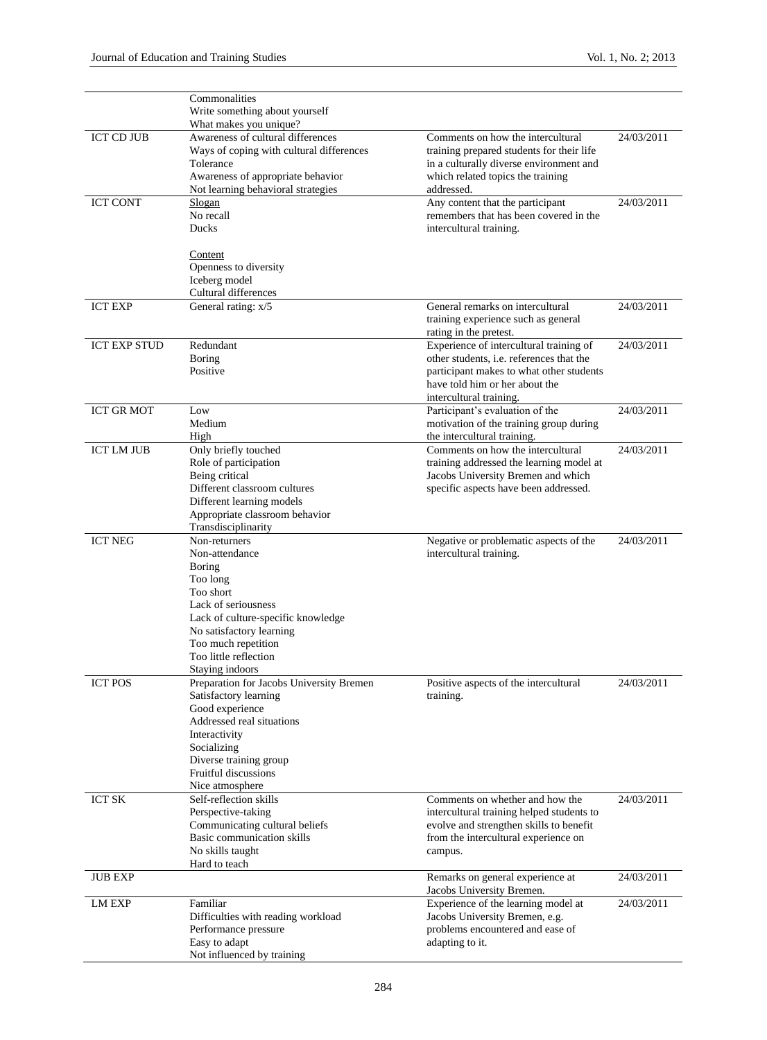|                     | Commonalities                                                     |                                                                   |            |
|---------------------|-------------------------------------------------------------------|-------------------------------------------------------------------|------------|
|                     | Write something about yourself                                    |                                                                   |            |
|                     | What makes you unique?                                            |                                                                   |            |
| <b>ICT CD JUB</b>   | Awareness of cultural differences                                 | Comments on how the intercultural                                 | 24/03/2011 |
|                     | Ways of coping with cultural differences                          | training prepared students for their life                         |            |
|                     | Tolerance                                                         | in a culturally diverse environment and                           |            |
|                     | Awareness of appropriate behavior                                 | which related topics the training                                 |            |
|                     | Not learning behavioral strategies                                | addressed.                                                        |            |
| <b>ICT CONT</b>     | Slogan                                                            | Any content that the participant                                  | 24/03/2011 |
|                     | No recall<br>Ducks                                                | remembers that has been covered in the<br>intercultural training. |            |
|                     |                                                                   |                                                                   |            |
|                     | <b>Content</b>                                                    |                                                                   |            |
|                     | Openness to diversity                                             |                                                                   |            |
|                     | Iceberg model                                                     |                                                                   |            |
|                     | Cultural differences                                              |                                                                   |            |
| <b>ICT EXP</b>      | General rating: x/5                                               | General remarks on intercultural                                  | 24/03/2011 |
|                     |                                                                   | training experience such as general                               |            |
|                     |                                                                   | rating in the pretest.                                            |            |
| <b>ICT EXP STUD</b> | Redundant                                                         | Experience of intercultural training of                           | 24/03/2011 |
|                     | <b>Boring</b>                                                     | other students, i.e. references that the                          |            |
|                     | Positive                                                          | participant makes to what other students                          |            |
|                     |                                                                   | have told him or her about the                                    |            |
|                     |                                                                   | intercultural training.                                           |            |
| <b>ICT GR MOT</b>   | Low                                                               | Participant's evaluation of the                                   | 24/03/2011 |
|                     | Medium                                                            | motivation of the training group during                           |            |
| <b>ICT LM JUB</b>   | High<br>Only briefly touched                                      | the intercultural training.<br>Comments on how the intercultural  | 24/03/2011 |
|                     | Role of participation                                             | training addressed the learning model at                          |            |
|                     | Being critical                                                    | Jacobs University Bremen and which                                |            |
|                     | Different classroom cultures                                      | specific aspects have been addressed.                             |            |
|                     | Different learning models                                         |                                                                   |            |
|                     | Appropriate classroom behavior                                    |                                                                   |            |
|                     | Transdisciplinarity                                               |                                                                   |            |
| <b>ICT NEG</b>      | Non-returners                                                     | Negative or problematic aspects of the                            | 24/03/2011 |
|                     | Non-attendance                                                    | intercultural training.                                           |            |
|                     | <b>Boring</b>                                                     |                                                                   |            |
|                     | Too long                                                          |                                                                   |            |
|                     | Too short                                                         |                                                                   |            |
|                     | Lack of seriousness                                               |                                                                   |            |
|                     | Lack of culture-specific knowledge                                |                                                                   |            |
|                     | No satisfactory learning                                          |                                                                   |            |
|                     | Too much repetition                                               |                                                                   |            |
|                     | Too little reflection                                             |                                                                   |            |
|                     | Staying indoors                                                   |                                                                   |            |
| <b>ICT POS</b>      | Preparation for Jacobs University Bremen<br>Satisfactory learning | Positive aspects of the intercultural<br>training.                | 24/03/2011 |
|                     | Good experience                                                   |                                                                   |            |
|                     | Addressed real situations                                         |                                                                   |            |
|                     | Interactivity                                                     |                                                                   |            |
|                     | Socializing                                                       |                                                                   |            |
|                     | Diverse training group                                            |                                                                   |            |
|                     | <b>Fruitful discussions</b>                                       |                                                                   |            |
|                     | Nice atmosphere                                                   |                                                                   |            |
| <b>ICT SK</b>       | Self-reflection skills                                            | Comments on whether and how the                                   | 24/03/2011 |
|                     | Perspective-taking                                                | intercultural training helped students to                         |            |
|                     | Communicating cultural beliefs                                    | evolve and strengthen skills to benefit                           |            |
|                     | Basic communication skills                                        | from the intercultural experience on                              |            |
|                     | No skills taught                                                  | campus.                                                           |            |
|                     | Hard to teach                                                     |                                                                   |            |
| <b>JUB EXP</b>      |                                                                   | Remarks on general experience at                                  | 24/03/2011 |
|                     |                                                                   | Jacobs University Bremen.                                         |            |
| <b>LM EXP</b>       | Familiar                                                          | Experience of the learning model at                               | 24/03/2011 |
|                     | Difficulties with reading workload                                | Jacobs University Bremen, e.g.                                    |            |
|                     | Performance pressure<br>Easy to adapt                             | problems encountered and ease of<br>adapting to it.               |            |
|                     | Not influenced by training                                        |                                                                   |            |
|                     |                                                                   |                                                                   |            |